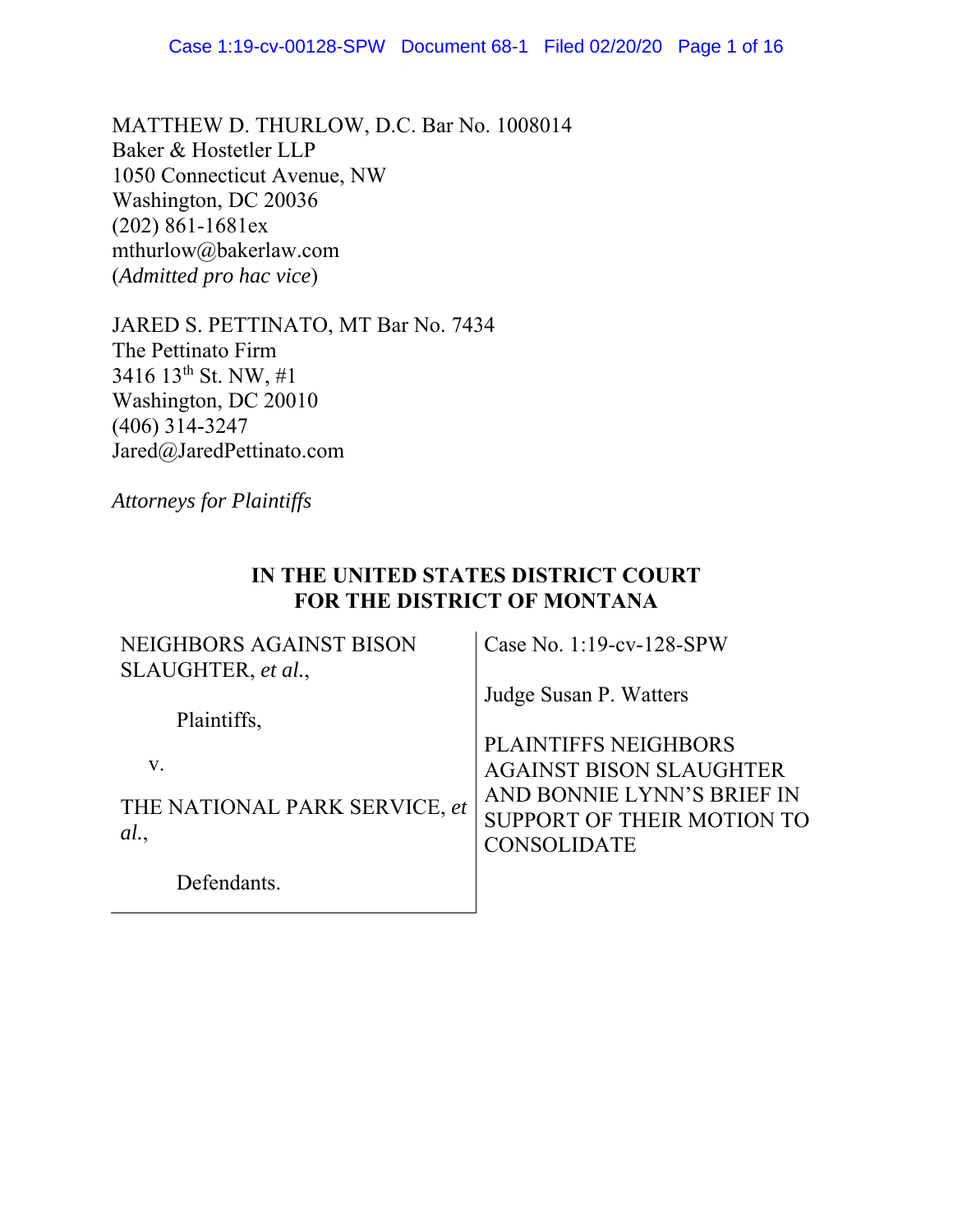MATTHEW D. THURLOW, D.C. Bar No. 1008014 Baker & Hostetler LLP 1050 Connecticut Avenue, NW Washington, DC 20036 (202) 861-1681ex mthurlow@bakerlaw.com (*Admitted pro hac vice*)

JARED S. PETTINATO, MT Bar No. 7434 The Pettinato Firm 3416 13th St. NW, #1 Washington, DC 20010 (406) 314-3247 Jared@JaredPettinato.com

*Attorneys for Plaintiffs*

# **IN THE UNITED STATES DISTRICT COURT FOR THE DISTRICT OF MONTANA**

| NEIGHBORS AGAINST BISON       | Case No. $1:19$ -cv- $128$ -SPW |
|-------------------------------|---------------------------------|
| SLAUGHTER, et al.,            |                                 |
|                               | Judge Susan P. Watters          |
| Plaintiffs,                   |                                 |
|                               | <b>PLAINTIFFS NEIGHBORS</b>     |
| V.                            | <b>AGAINST BISON SLAUGHTER</b>  |
|                               | AND BONNIE LYNN'S BRIEF IN      |
| THE NATIONAL PARK SERVICE, et | SUPPORT OF THEIR MOTION TO      |
| al.                           | <b>CONSOLIDATE</b>              |
| Defendants.                   |                                 |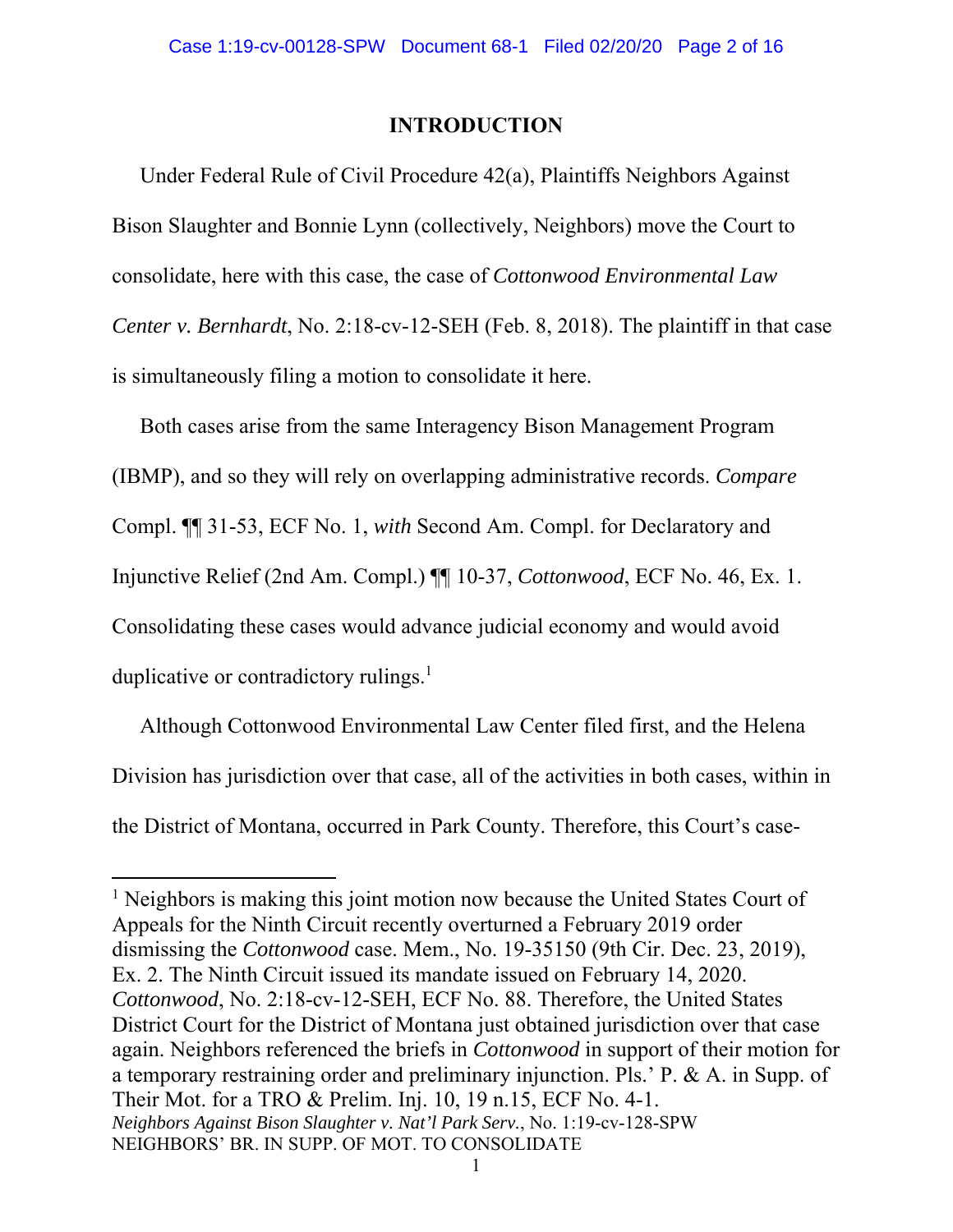### **INTRODUCTION**

Under Federal Rule of Civil Procedure 42(a), Plaintiffs Neighbors Against Bison Slaughter and Bonnie Lynn (collectively, Neighbors) move the Court to consolidate, here with this case, the case of *Cottonwood Environmental Law Center v. Bernhardt*, No. 2:18-cv-12-SEH (Feb. 8, 2018). The plaintiff in that case is simultaneously filing a motion to consolidate it here.

Both cases arise from the same Interagency Bison Management Program (IBMP), and so they will rely on overlapping administrative records. *Compare* Compl. ¶¶ 31-53, ECF No. 1, *with* Second Am. Compl. for Declaratory and Injunctive Relief (2nd Am. Compl.) ¶¶ 10-37, *Cottonwood*, ECF No. 46, Ex. 1. Consolidating these cases would advance judicial economy and would avoid duplicative or contradictory rulings. $<sup>1</sup>$ </sup>

Although Cottonwood Environmental Law Center filed first, and the Helena Division has jurisdiction over that case, all of the activities in both cases, within in the District of Montana, occurred in Park County. Therefore, this Court's case-

*Neighbors Against Bison Slaughter v. Nat'l Park Serv.*, No. 1:19-cv-128-SPW NEIGHBORS' BR. IN SUPP. OF MOT. TO CONSOLIDATE <sup>1</sup> Neighbors is making this joint motion now because the United States Court of Appeals for the Ninth Circuit recently overturned a February 2019 order dismissing the *Cottonwood* case. Mem., No. 19-35150 (9th Cir. Dec. 23, 2019), Ex. 2. The Ninth Circuit issued its mandate issued on February 14, 2020. *Cottonwood*, No. 2:18-cv-12-SEH, ECF No. 88. Therefore, the United States District Court for the District of Montana just obtained jurisdiction over that case again. Neighbors referenced the briefs in *Cottonwood* in support of their motion for a temporary restraining order and preliminary injunction. Pls.' P. & A. in Supp. of Their Mot. for a TRO & Prelim. Inj. 10, 19 n.15, ECF No. 4-1.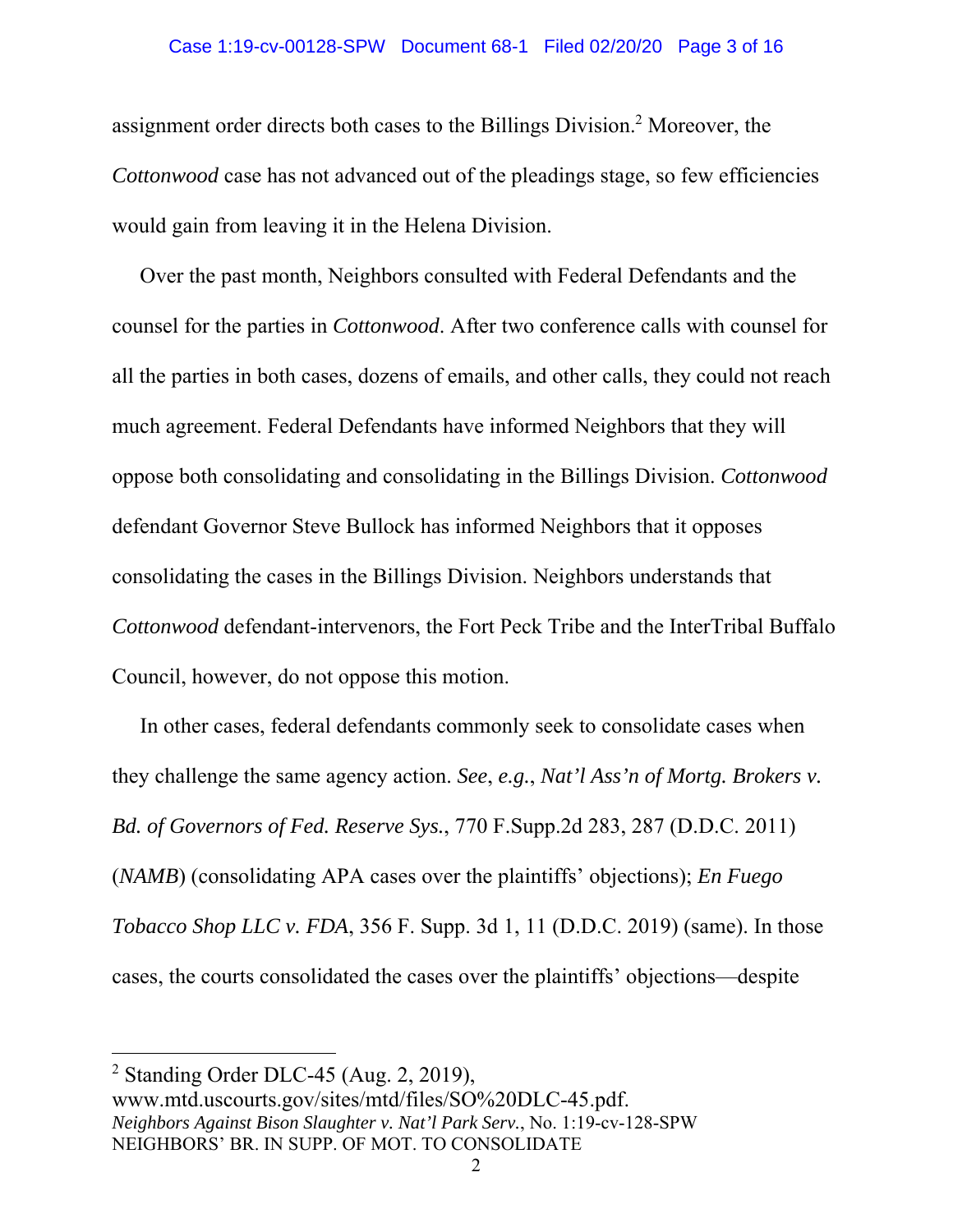assignment order directs both cases to the Billings Division.<sup>2</sup> Moreover, the *Cottonwood* case has not advanced out of the pleadings stage, so few efficiencies would gain from leaving it in the Helena Division.

Over the past month, Neighbors consulted with Federal Defendants and the counsel for the parties in *Cottonwood*. After two conference calls with counsel for all the parties in both cases, dozens of emails, and other calls, they could not reach much agreement. Federal Defendants have informed Neighbors that they will oppose both consolidating and consolidating in the Billings Division. *Cottonwood* defendant Governor Steve Bullock has informed Neighbors that it opposes consolidating the cases in the Billings Division. Neighbors understands that *Cottonwood* defendant-intervenors, the Fort Peck Tribe and the InterTribal Buffalo Council, however, do not oppose this motion.

In other cases, federal defendants commonly seek to consolidate cases when they challenge the same agency action. *See*, *e.g.*, *Nat'l Ass'n of Mortg. Brokers v. Bd. of Governors of Fed. Reserve Sys.*, 770 F.Supp.2d 283, 287 (D.D.C. 2011) (*NAMB*) (consolidating APA cases over the plaintiffs' objections); *En Fuego Tobacco Shop LLC v. FDA*, 356 F. Supp. 3d 1, 11 (D.D.C. 2019) (same). In those cases, the courts consolidated the cases over the plaintiffs' objections—despite

<sup>&</sup>lt;sup>2</sup> Standing Order DLC-45 (Aug. 2, 2019),

*Neighbors Against Bison Slaughter v. Nat'l Park Serv.*, No. 1:19-cv-128-SPW NEIGHBORS' BR. IN SUPP. OF MOT. TO CONSOLIDATE www.mtd.uscourts.gov/sites/mtd/files/SO%20DLC-45.pdf.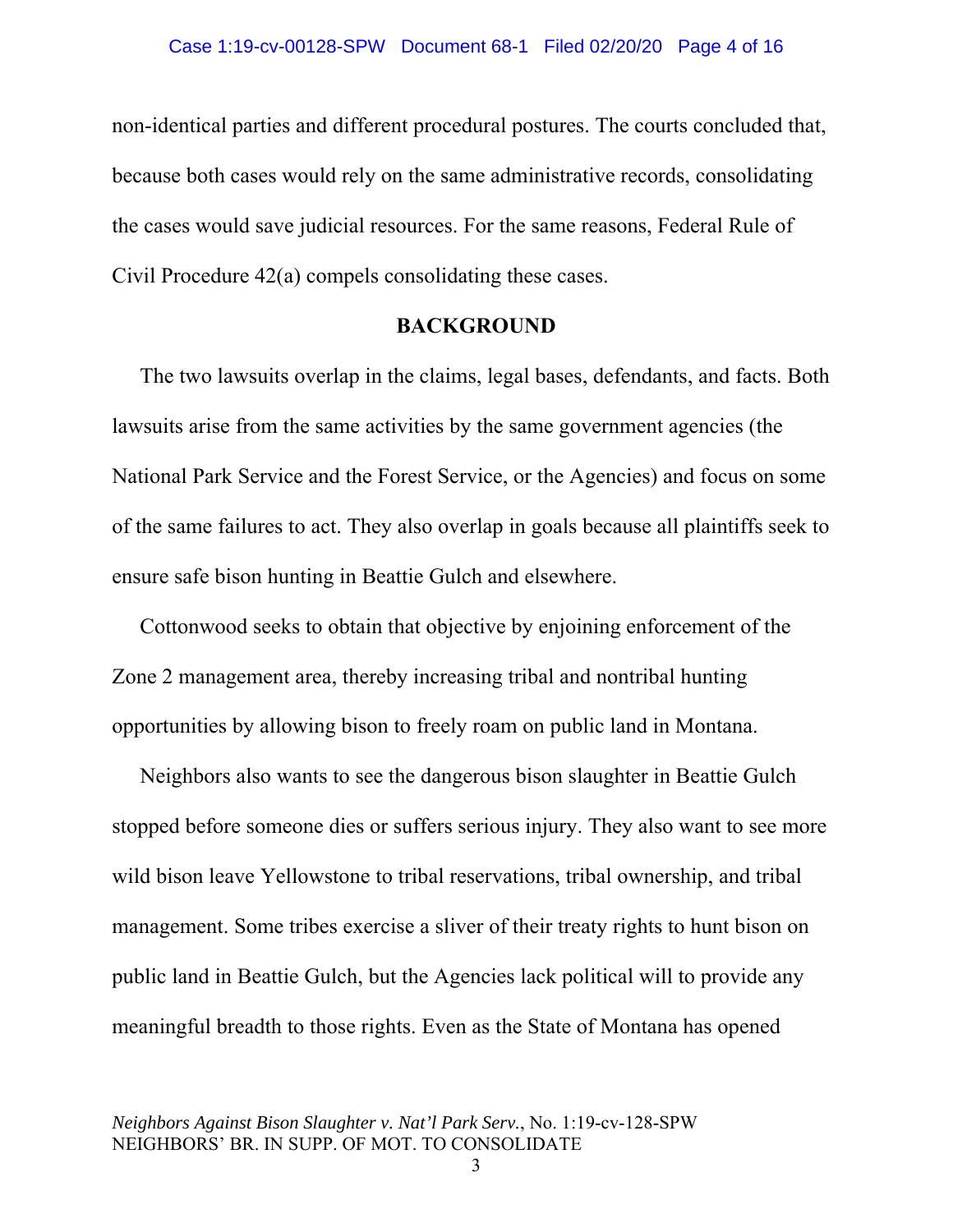non-identical parties and different procedural postures. The courts concluded that, because both cases would rely on the same administrative records, consolidating the cases would save judicial resources. For the same reasons, Federal Rule of Civil Procedure 42(a) compels consolidating these cases.

### **BACKGROUND**

The two lawsuits overlap in the claims, legal bases, defendants, and facts. Both lawsuits arise from the same activities by the same government agencies (the National Park Service and the Forest Service, or the Agencies) and focus on some of the same failures to act. They also overlap in goals because all plaintiffs seek to ensure safe bison hunting in Beattie Gulch and elsewhere.

Cottonwood seeks to obtain that objective by enjoining enforcement of the Zone 2 management area, thereby increasing tribal and nontribal hunting opportunities by allowing bison to freely roam on public land in Montana.

Neighbors also wants to see the dangerous bison slaughter in Beattie Gulch stopped before someone dies or suffers serious injury. They also want to see more wild bison leave Yellowstone to tribal reservations, tribal ownership, and tribal management. Some tribes exercise a sliver of their treaty rights to hunt bison on public land in Beattie Gulch, but the Agencies lack political will to provide any meaningful breadth to those rights. Even as the State of Montana has opened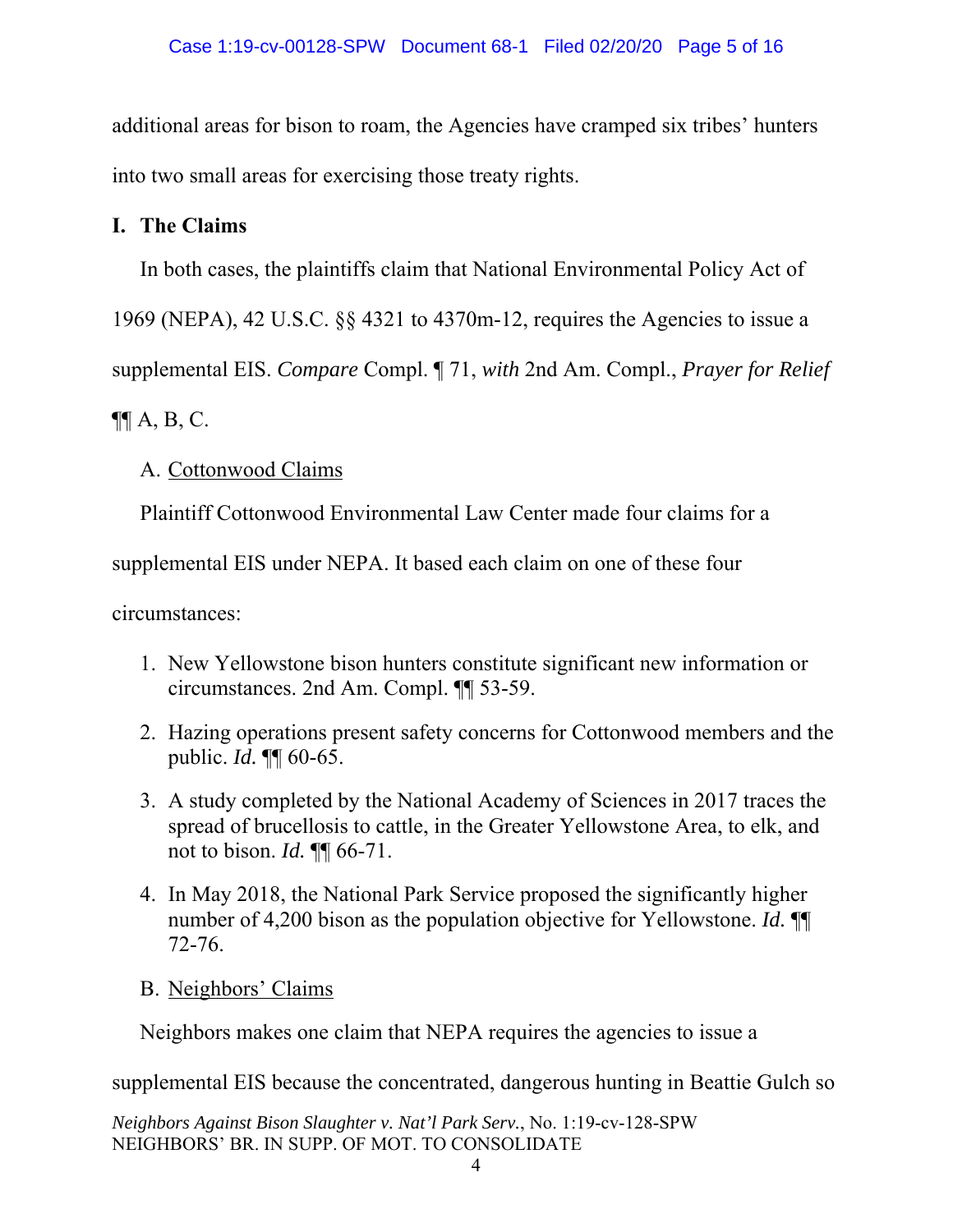additional areas for bison to roam, the Agencies have cramped six tribes' hunters into two small areas for exercising those treaty rights.

# **I. The Claims**

In both cases, the plaintiffs claim that National Environmental Policy Act of

1969 (NEPA), 42 U.S.C. §§ 4321 to 4370m-12, requires the Agencies to issue a

supplemental EIS. *Compare* Compl. ¶ 71, *with* 2nd Am. Compl., *Prayer for Relief*

 $\P$  $A, B, C$ .

# A. Cottonwood Claims

Plaintiff Cottonwood Environmental Law Center made four claims for a

supplemental EIS under NEPA. It based each claim on one of these four

circumstances:

- 1. New Yellowstone bison hunters constitute significant new information or circumstances. 2nd Am. Compl. ¶¶ 53-59.
- 2. Hazing operations present safety concerns for Cottonwood members and the public. *Id.* ¶¶ 60-65.
- 3. A study completed by the National Academy of Sciences in 2017 traces the spread of brucellosis to cattle, in the Greater Yellowstone Area, to elk, and not to bison. *Id.* ¶¶ 66-71.
- 4. In May 2018, the National Park Service proposed the significantly higher number of 4,200 bison as the population objective for Yellowstone. *Id.* ¶¶ 72-76.
- B. Neighbors' Claims

Neighbors makes one claim that NEPA requires the agencies to issue a

supplemental EIS because the concentrated, dangerous hunting in Beattie Gulch so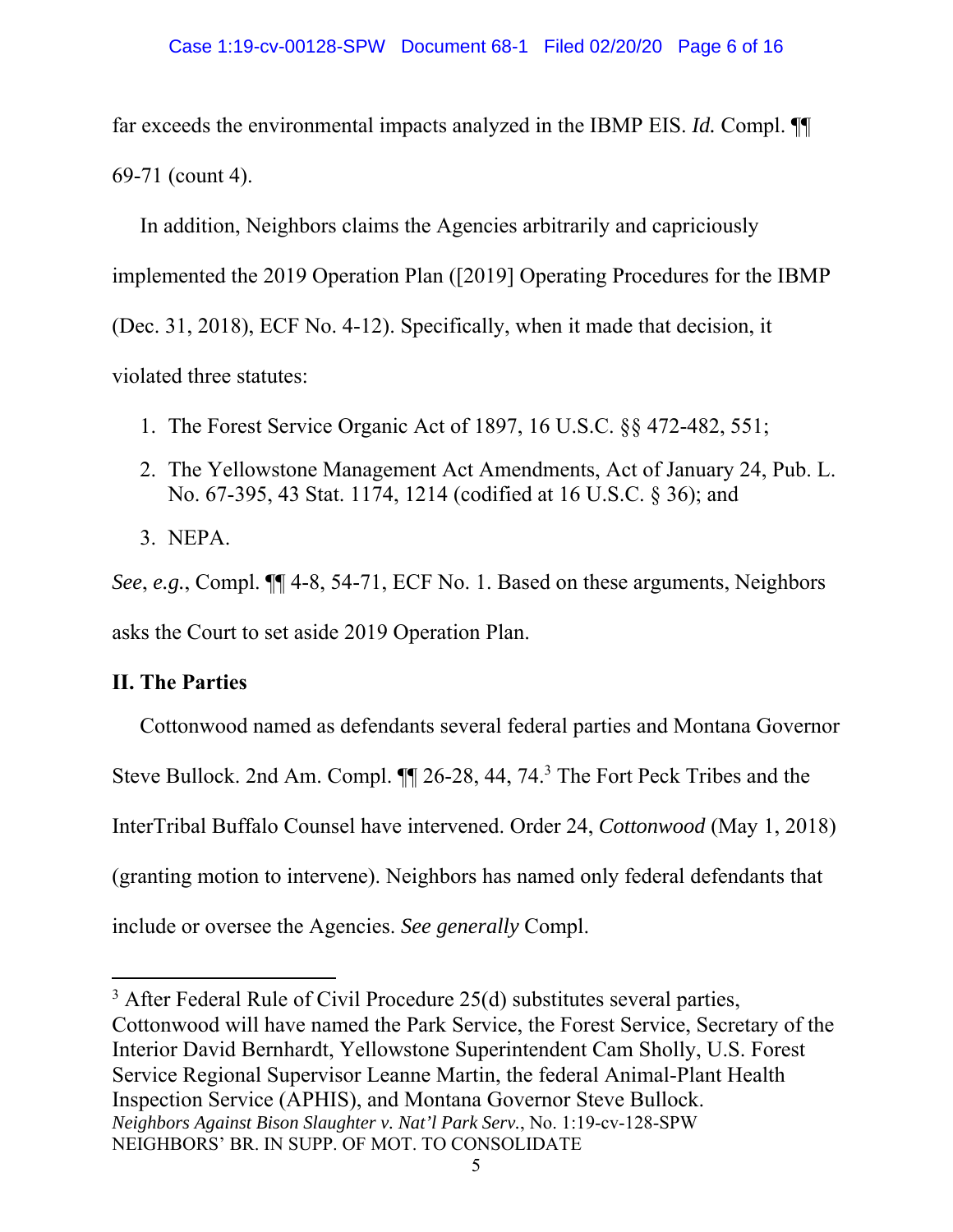far exceeds the environmental impacts analyzed in the IBMP EIS. *Id.* Compl. ¶¶ 69-71 (count 4).

In addition, Neighbors claims the Agencies arbitrarily and capriciously implemented the 2019 Operation Plan ([2019] Operating Procedures for the IBMP (Dec. 31, 2018), ECF No. 4-12). Specifically, when it made that decision, it violated three statutes:

- 1. The Forest Service Organic Act of 1897, 16 U.S.C. §§ 472-482, 551;
- 2. The Yellowstone Management Act Amendments, Act of January 24, Pub. L. No. 67-395, 43 Stat. 1174, 1214 (codified at 16 U.S.C. § 36); and
- 3. NEPA.

*See*, *e.g.*, Compl. ¶¶ 4-8, 54-71, ECF No. 1. Based on these arguments, Neighbors asks the Court to set aside 2019 Operation Plan.

# **II. The Parties**

Cottonwood named as defendants several federal parties and Montana Governor Steve Bullock. 2nd Am. Compl.  $\P$  26-28, 44, 74.<sup>3</sup> The Fort Peck Tribes and the InterTribal Buffalo Counsel have intervened. Order 24, *Cottonwood* (May 1, 2018) (granting motion to intervene). Neighbors has named only federal defendants that include or oversee the Agencies. *See generally* Compl.

*Neighbors Against Bison Slaughter v. Nat'l Park Serv.*, No. 1:19-cv-128-SPW NEIGHBORS' BR. IN SUPP. OF MOT. TO CONSOLIDATE  $3$  After Federal Rule of Civil Procedure 25(d) substitutes several parties, Cottonwood will have named the Park Service, the Forest Service, Secretary of the Interior David Bernhardt, Yellowstone Superintendent Cam Sholly, U.S. Forest Service Regional Supervisor Leanne Martin, the federal Animal-Plant Health Inspection Service (APHIS), and Montana Governor Steve Bullock.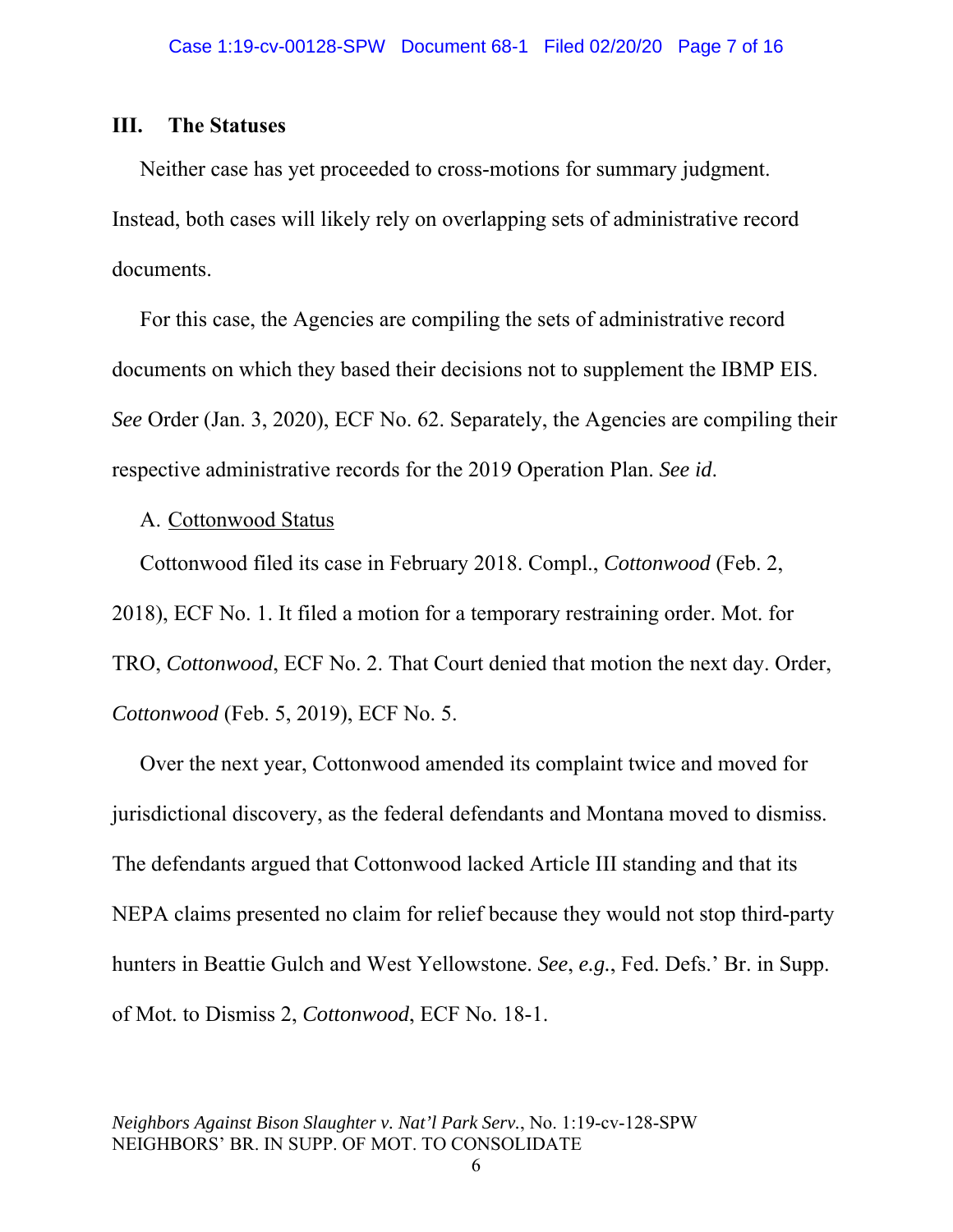#### **III. The Statuses**

Neither case has yet proceeded to cross-motions for summary judgment. Instead, both cases will likely rely on overlapping sets of administrative record documents.

For this case, the Agencies are compiling the sets of administrative record documents on which they based their decisions not to supplement the IBMP EIS. *See* Order (Jan. 3, 2020), ECF No. 62. Separately, the Agencies are compiling their respective administrative records for the 2019 Operation Plan. *See id*.

#### A. Cottonwood Status

Cottonwood filed its case in February 2018. Compl., *Cottonwood* (Feb. 2,

2018), ECF No. 1. It filed a motion for a temporary restraining order. Mot. for TRO, *Cottonwood*, ECF No. 2. That Court denied that motion the next day. Order,

*Cottonwood* (Feb. 5, 2019), ECF No. 5.

Over the next year, Cottonwood amended its complaint twice and moved for jurisdictional discovery, as the federal defendants and Montana moved to dismiss. The defendants argued that Cottonwood lacked Article III standing and that its NEPA claims presented no claim for relief because they would not stop third-party hunters in Beattie Gulch and West Yellowstone. *See*, *e.g.*, Fed. Defs.' Br. in Supp. of Mot. to Dismiss 2, *Cottonwood*, ECF No. 18-1.

*Neighbors Against Bison Slaughter v. Nat'l Park Serv.*, No. 1:19-cv-128-SPW NEIGHBORS' BR. IN SUPP. OF MOT. TO CONSOLIDATE

6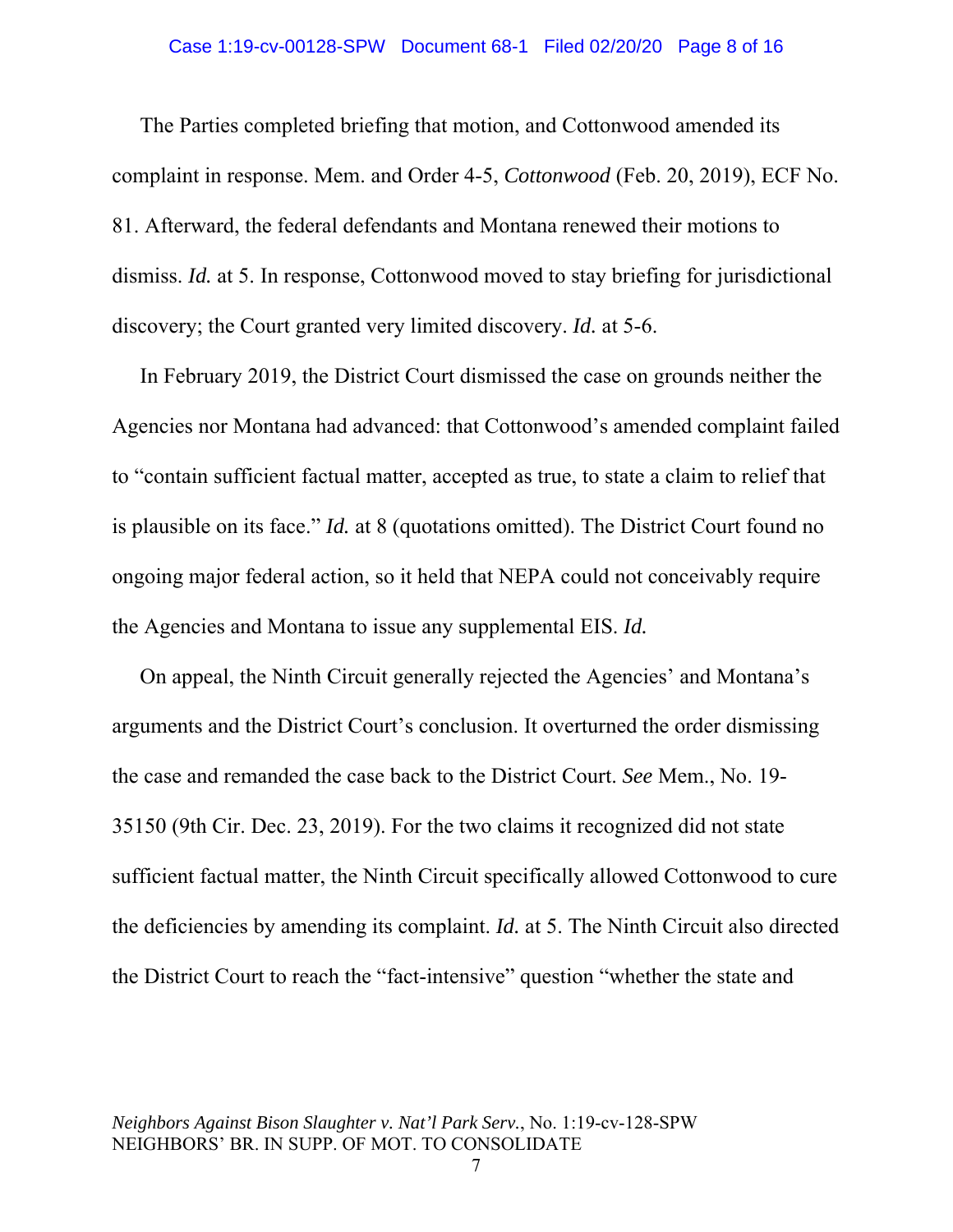The Parties completed briefing that motion, and Cottonwood amended its complaint in response. Mem. and Order 4-5, *Cottonwood* (Feb. 20, 2019), ECF No. 81. Afterward, the federal defendants and Montana renewed their motions to dismiss. *Id.* at 5. In response, Cottonwood moved to stay briefing for jurisdictional discovery; the Court granted very limited discovery. *Id.* at 5-6.

In February 2019, the District Court dismissed the case on grounds neither the Agencies nor Montana had advanced: that Cottonwood's amended complaint failed to "contain sufficient factual matter, accepted as true, to state a claim to relief that is plausible on its face." *Id.* at 8 (quotations omitted). The District Court found no ongoing major federal action, so it held that NEPA could not conceivably require the Agencies and Montana to issue any supplemental EIS. *Id.*

On appeal, the Ninth Circuit generally rejected the Agencies' and Montana's arguments and the District Court's conclusion. It overturned the order dismissing the case and remanded the case back to the District Court. *See* Mem., No. 19- 35150 (9th Cir. Dec. 23, 2019). For the two claims it recognized did not state sufficient factual matter, the Ninth Circuit specifically allowed Cottonwood to cure the deficiencies by amending its complaint. *Id.* at 5. The Ninth Circuit also directed the District Court to reach the "fact-intensive" question "whether the state and

7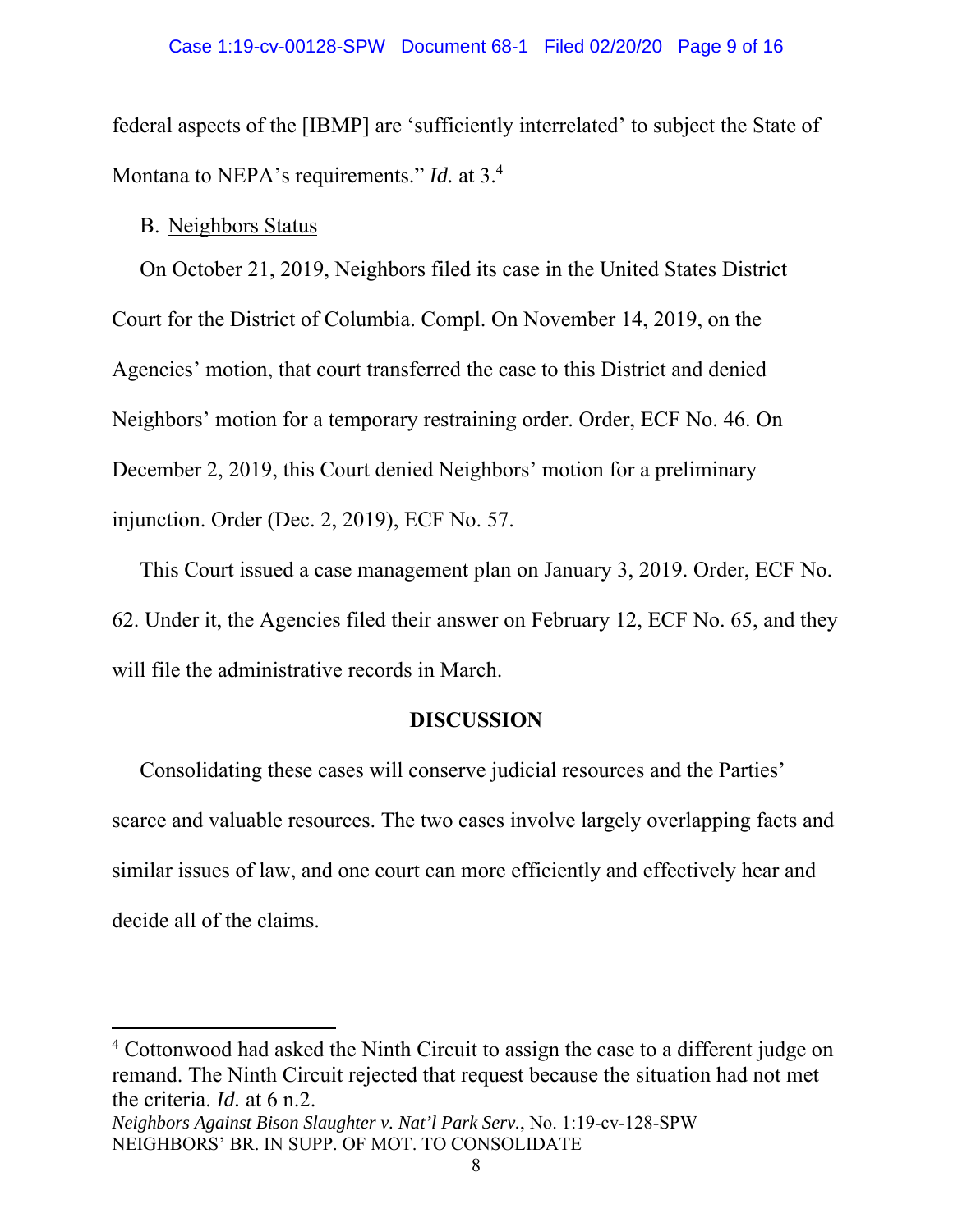federal aspects of the [IBMP] are 'sufficiently interrelated' to subject the State of Montana to NEPA's requirements." *Id.* at 3.4

### B. Neighbors Status

On October 21, 2019, Neighbors filed its case in the United States District Court for the District of Columbia. Compl. On November 14, 2019, on the Agencies' motion, that court transferred the case to this District and denied Neighbors' motion for a temporary restraining order. Order, ECF No. 46. On December 2, 2019, this Court denied Neighbors' motion for a preliminary injunction. Order (Dec. 2, 2019), ECF No. 57.

This Court issued a case management plan on January 3, 2019. Order, ECF No. 62. Under it, the Agencies filed their answer on February 12, ECF No. 65, and they will file the administrative records in March.

## **DISCUSSION**

Consolidating these cases will conserve judicial resources and the Parties' scarce and valuable resources. The two cases involve largely overlapping facts and similar issues of law, and one court can more efficiently and effectively hear and decide all of the claims.

<sup>4</sup> Cottonwood had asked the Ninth Circuit to assign the case to a different judge on remand. The Ninth Circuit rejected that request because the situation had not met the criteria. *Id.* at 6 n.2.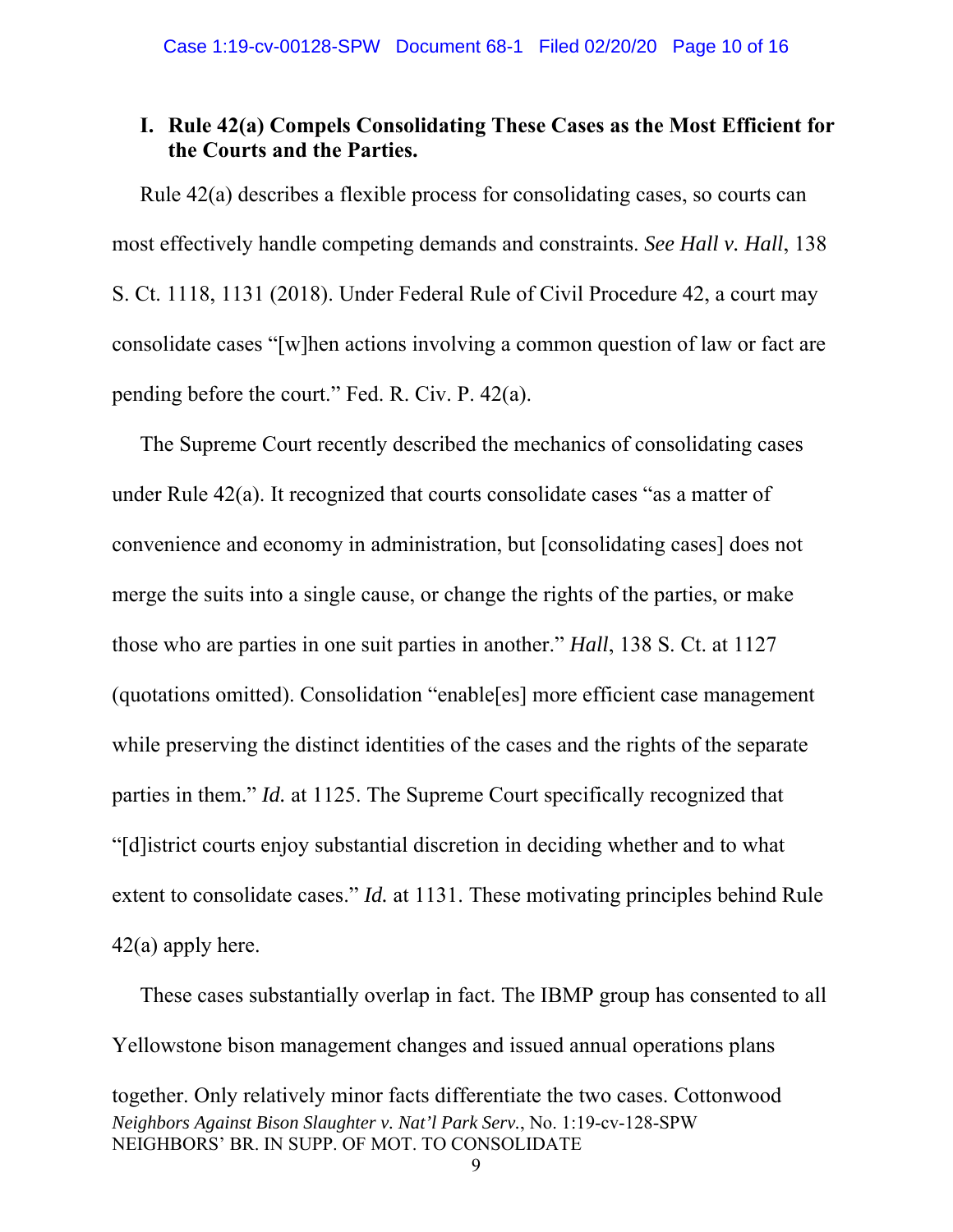### **I. Rule 42(a) Compels Consolidating These Cases as the Most Efficient for the Courts and the Parties.**

Rule 42(a) describes a flexible process for consolidating cases, so courts can most effectively handle competing demands and constraints. *See Hall v. Hall*, 138 S. Ct. 1118, 1131 (2018). Under Federal Rule of Civil Procedure 42, a court may consolidate cases "[w]hen actions involving a common question of law or fact are pending before the court." Fed. R. Civ. P. 42(a).

The Supreme Court recently described the mechanics of consolidating cases under Rule 42(a). It recognized that courts consolidate cases "as a matter of convenience and economy in administration, but [consolidating cases] does not merge the suits into a single cause, or change the rights of the parties, or make those who are parties in one suit parties in another." *Hall*, 138 S. Ct. at 1127 (quotations omitted). Consolidation "enable[es] more efficient case management while preserving the distinct identities of the cases and the rights of the separate parties in them." *Id.* at 1125. The Supreme Court specifically recognized that "[d]istrict courts enjoy substantial discretion in deciding whether and to what extent to consolidate cases." *Id.* at 1131. These motivating principles behind Rule  $42(a)$  apply here.

*Neighbors Against Bison Slaughter v. Nat'l Park Serv.*, No. 1:19-cv-128-SPW NEIGHBORS' BR. IN SUPP. OF MOT. TO CONSOLIDATE 9 These cases substantially overlap in fact. The IBMP group has consented to all Yellowstone bison management changes and issued annual operations plans together. Only relatively minor facts differentiate the two cases. Cottonwood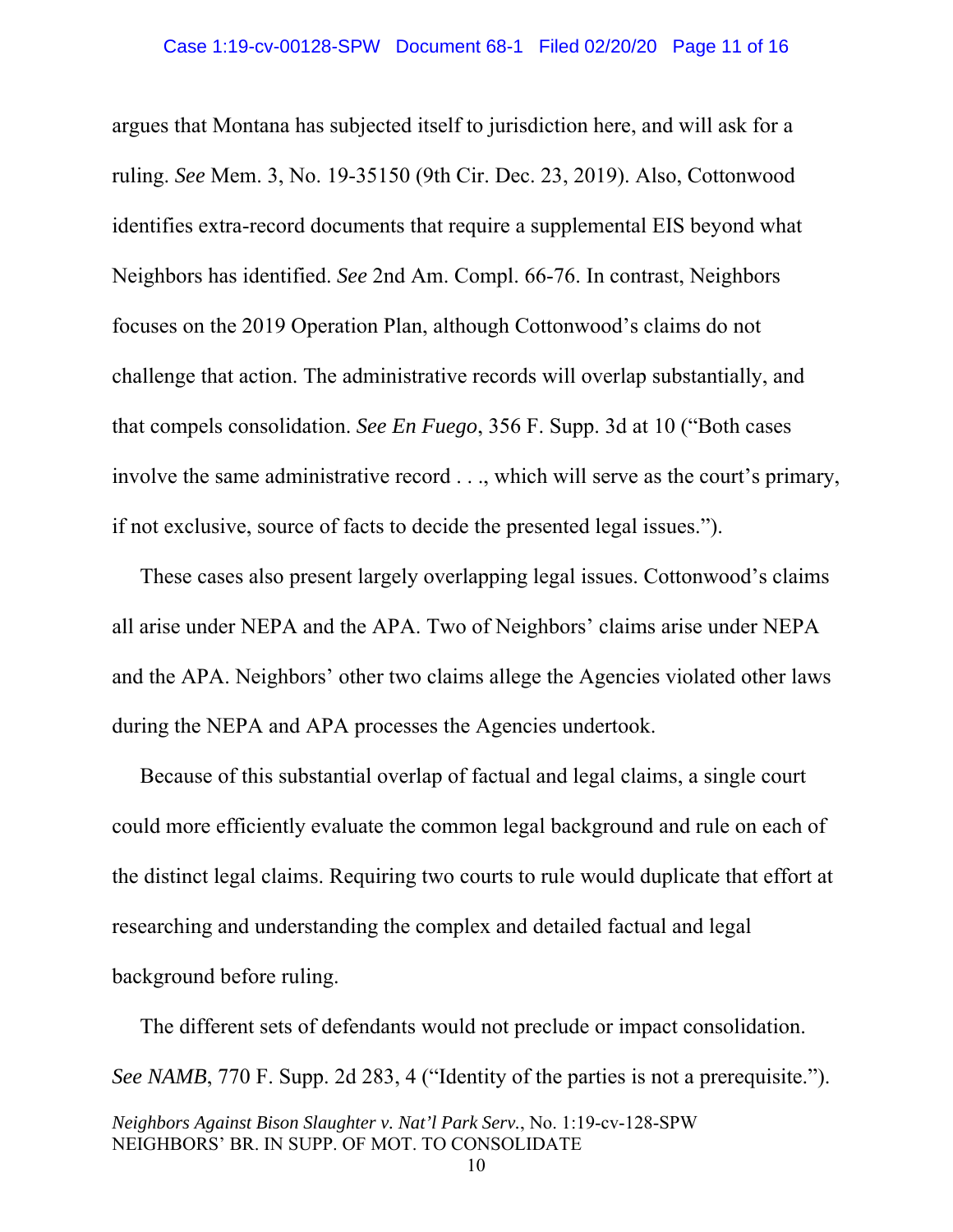argues that Montana has subjected itself to jurisdiction here, and will ask for a ruling. *See* Mem. 3, No. 19-35150 (9th Cir. Dec. 23, 2019). Also, Cottonwood identifies extra-record documents that require a supplemental EIS beyond what Neighbors has identified. *See* 2nd Am. Compl. 66-76. In contrast, Neighbors focuses on the 2019 Operation Plan, although Cottonwood's claims do not challenge that action. The administrative records will overlap substantially, and that compels consolidation. *See En Fuego*, 356 F. Supp. 3d at 10 ("Both cases involve the same administrative record . . ., which will serve as the court's primary, if not exclusive, source of facts to decide the presented legal issues.").

These cases also present largely overlapping legal issues. Cottonwood's claims all arise under NEPA and the APA. Two of Neighbors' claims arise under NEPA and the APA. Neighbors' other two claims allege the Agencies violated other laws during the NEPA and APA processes the Agencies undertook.

Because of this substantial overlap of factual and legal claims, a single court could more efficiently evaluate the common legal background and rule on each of the distinct legal claims. Requiring two courts to rule would duplicate that effort at researching and understanding the complex and detailed factual and legal background before ruling.

*Neighbors Against Bison Slaughter v. Nat'l Park Serv.*, No. 1:19-cv-128-SPW The different sets of defendants would not preclude or impact consolidation. *See NAMB*, 770 F. Supp. 2d 283, 4 ("Identity of the parties is not a prerequisite.").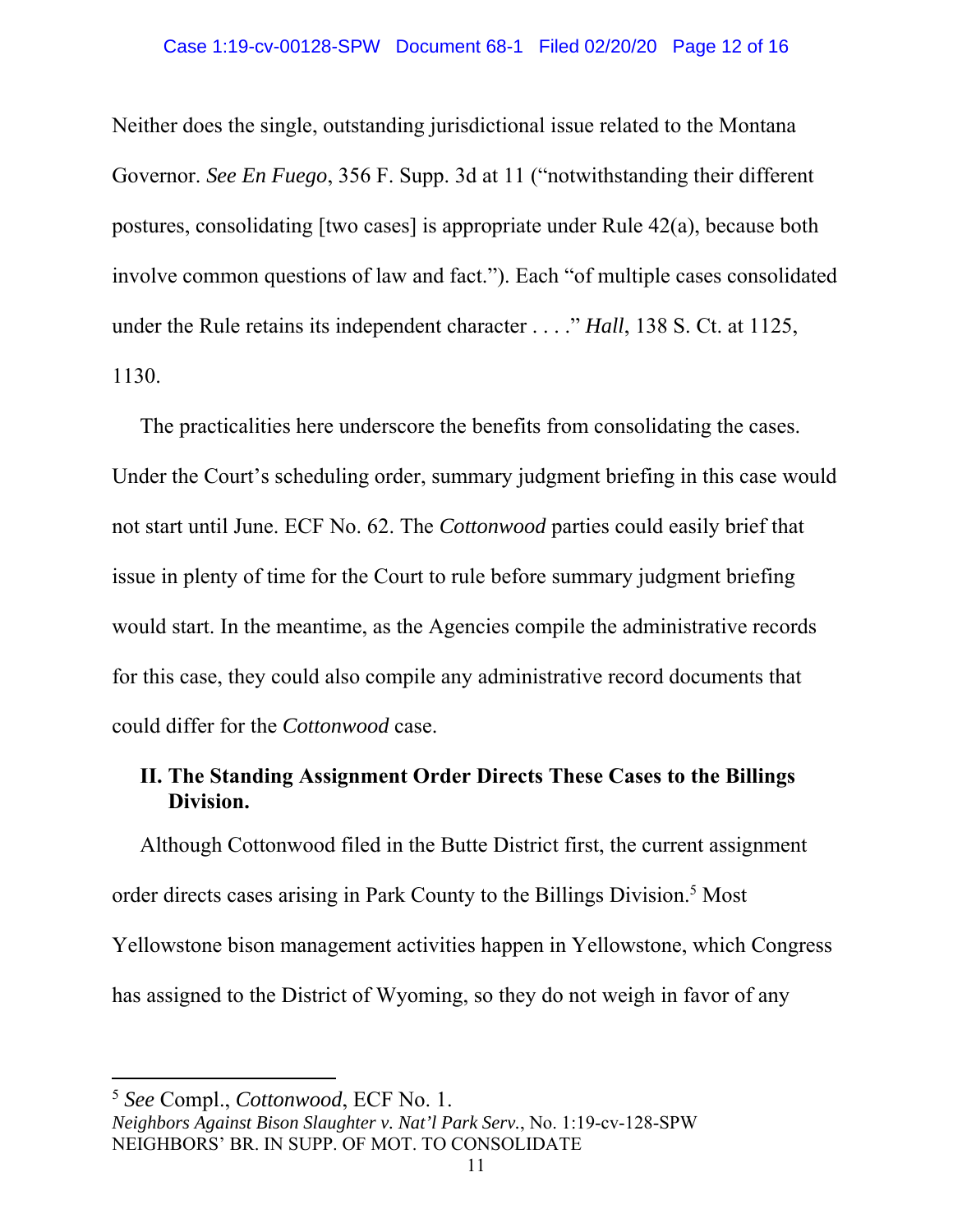#### Case 1:19-cv-00128-SPW Document 68-1 Filed 02/20/20 Page 12 of 16

Neither does the single, outstanding jurisdictional issue related to the Montana Governor. *See En Fuego*, 356 F. Supp. 3d at 11 ("notwithstanding their different postures, consolidating [two cases] is appropriate under Rule 42(a), because both involve common questions of law and fact."). Each "of multiple cases consolidated under the Rule retains its independent character . . . ." *Hall*, 138 S. Ct. at 1125, 1130.

The practicalities here underscore the benefits from consolidating the cases. Under the Court's scheduling order, summary judgment briefing in this case would not start until June. ECF No. 62. The *Cottonwood* parties could easily brief that issue in plenty of time for the Court to rule before summary judgment briefing would start. In the meantime, as the Agencies compile the administrative records for this case, they could also compile any administrative record documents that could differ for the *Cottonwood* case.

### **II. The Standing Assignment Order Directs These Cases to the Billings Division.**

Although Cottonwood filed in the Butte District first, the current assignment order directs cases arising in Park County to the Billings Division.<sup>5</sup> Most Yellowstone bison management activities happen in Yellowstone, which Congress has assigned to the District of Wyoming, so they do not weigh in favor of any

<sup>5</sup> *See* Compl., *Cottonwood*, ECF No. 1.

*Neighbors Against Bison Slaughter v. Nat'l Park Serv.*, No. 1:19-cv-128-SPW NEIGHBORS' BR. IN SUPP. OF MOT. TO CONSOLIDATE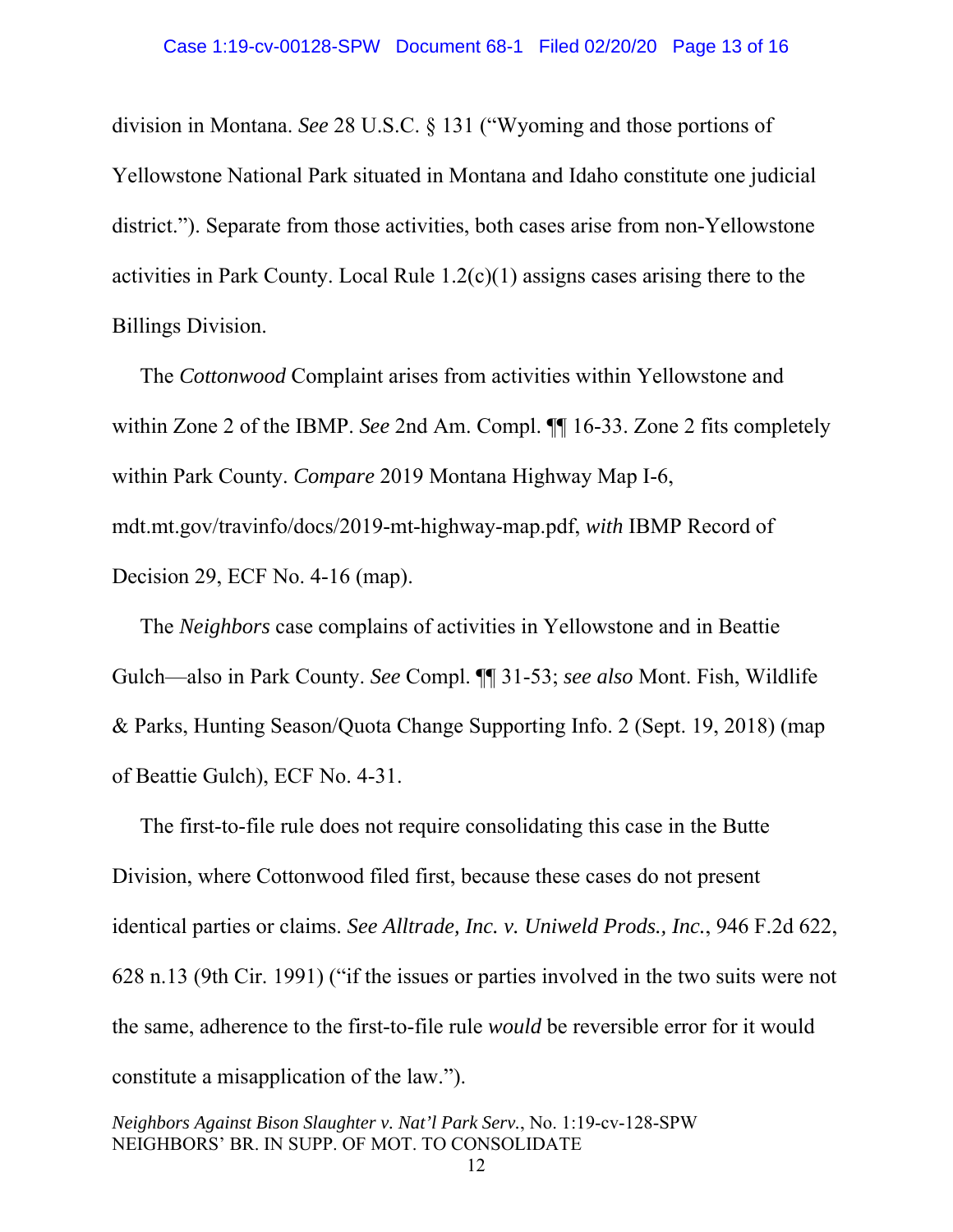division in Montana. *See* 28 U.S.C. § 131 ("Wyoming and those portions of Yellowstone National Park situated in Montana and Idaho constitute one judicial district."). Separate from those activities, both cases arise from non-Yellowstone activities in Park County. Local Rule 1.2(c)(1) assigns cases arising there to the Billings Division.

The *Cottonwood* Complaint arises from activities within Yellowstone and within Zone 2 of the IBMP. *See* 2nd Am. Compl. ¶¶ 16-33. Zone 2 fits completely within Park County. *Compare* 2019 Montana Highway Map I-6, mdt.mt.gov/travinfo/docs/2019-mt-highway-map.pdf, *with* IBMP Record of Decision 29, ECF No. 4-16 (map).

The *Neighbors* case complains of activities in Yellowstone and in Beattie Gulch—also in Park County. *See* Compl. ¶¶ 31-53; *see also* Mont. Fish, Wildlife & Parks, Hunting Season/Quota Change Supporting Info. 2 (Sept. 19, 2018) (map of Beattie Gulch), ECF No. 4-31.

The first-to-file rule does not require consolidating this case in the Butte Division, where Cottonwood filed first, because these cases do not present identical parties or claims. *See Alltrade, Inc. v. Uniweld Prods., Inc.*, 946 F.2d 622, 628 n.13 (9th Cir. 1991) ("if the issues or parties involved in the two suits were not the same, adherence to the first-to-file rule *would* be reversible error for it would constitute a misapplication of the law.").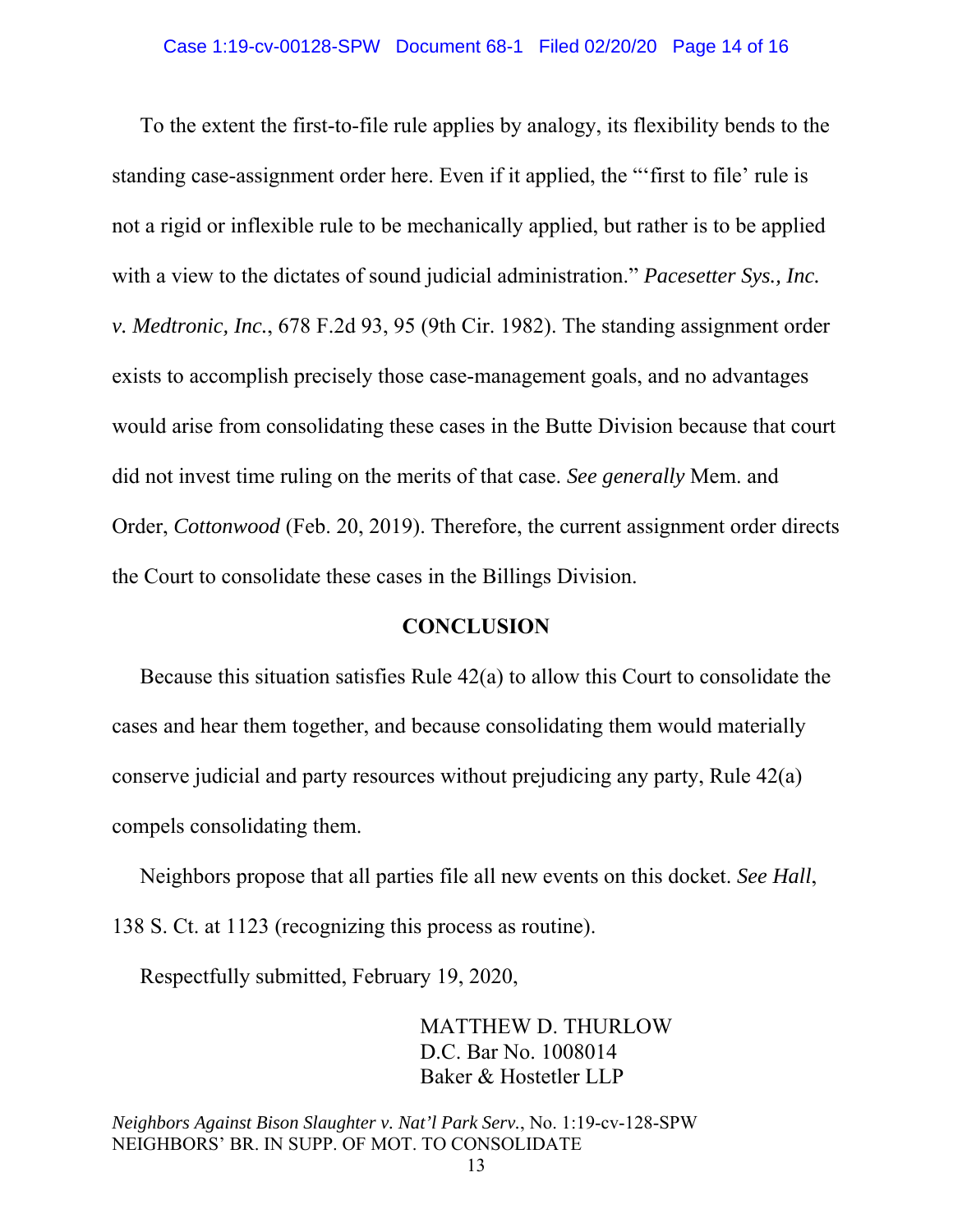To the extent the first-to-file rule applies by analogy, its flexibility bends to the standing case-assignment order here. Even if it applied, the "'first to file' rule is not a rigid or inflexible rule to be mechanically applied, but rather is to be applied with a view to the dictates of sound judicial administration." *Pacesetter Sys., Inc. v. Medtronic, Inc.*, 678 F.2d 93, 95 (9th Cir. 1982). The standing assignment order exists to accomplish precisely those case-management goals, and no advantages would arise from consolidating these cases in the Butte Division because that court did not invest time ruling on the merits of that case. *See generally* Mem. and Order, *Cottonwood* (Feb. 20, 2019). Therefore, the current assignment order directs the Court to consolidate these cases in the Billings Division.

### **CONCLUSION**

Because this situation satisfies Rule 42(a) to allow this Court to consolidate the cases and hear them together, and because consolidating them would materially conserve judicial and party resources without prejudicing any party, Rule 42(a) compels consolidating them.

Neighbors propose that all parties file all new events on this docket. *See Hall*, 138 S. Ct. at 1123 (recognizing this process as routine).

Respectfully submitted, February 19, 2020,

MATTHEW D. THURLOW D.C. Bar No. 1008014 Baker & Hostetler LLP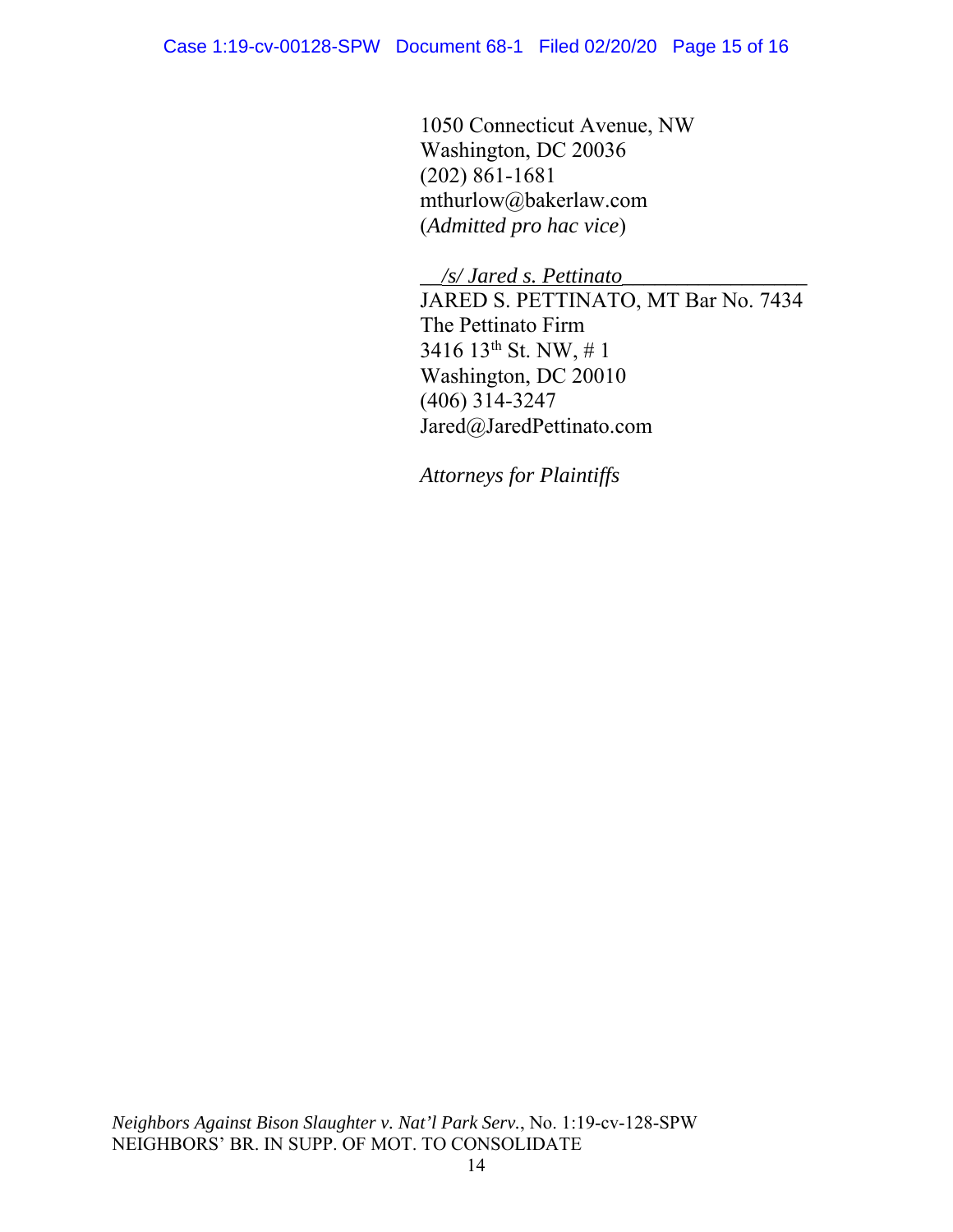1050 Connecticut Avenue, NW Washington, DC 20036 (202) 861-1681 mthurlow@bakerlaw.com (*Admitted pro hac vice*)

*\_\_/s/ Jared s. Pettinato\_\_\_\_\_\_\_\_\_\_\_\_\_\_\_\_\_*  JARED S. PETTINATO, MT Bar No. 7434 The Pettinato Firm 3416 13th St. NW, # 1 Washington, DC 20010 (406) 314-3247

Jared@JaredPettinato.com

*Attorneys for Plaintiffs*